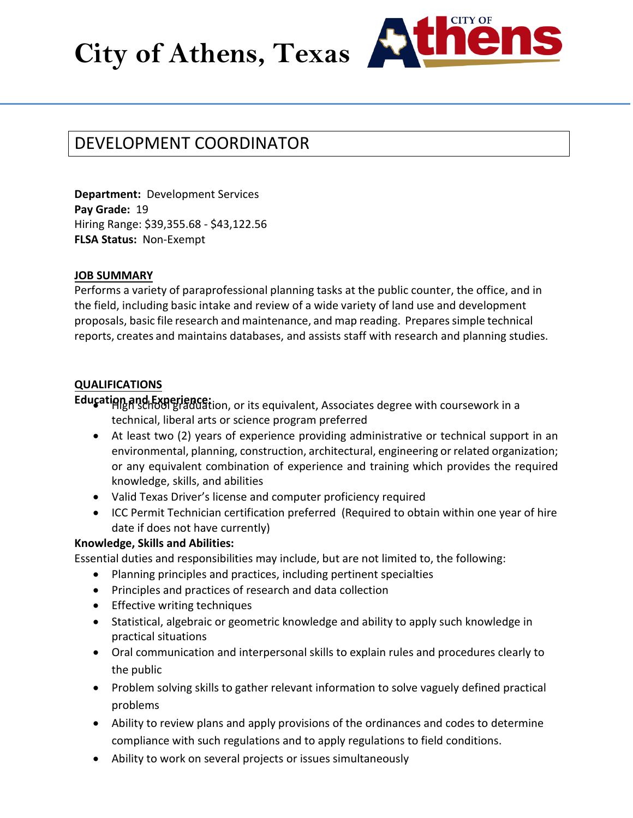City of Athens, Texas



# DEVELOPMENT COORDINATOR

**Department:** Development Services **Pay Grade:** 19 Hiring Range: \$39,355.68 - \$43,122.56 **FLSA Status:** Non-Exempt

## **JOB SUMMARY**

Performs a variety of paraprofessional planning tasks at the public counter, the office, and in the field, including basic intake and review of a wide variety of land use and development proposals, basic file research and maintenance, and map reading. Prepares simple technical reports, creates and maintains databases, and assists staff with research and planning studies.

## **QUALIFICATIONS**

**Education and Experience:** *ion, or its equivalent, Associates degree with coursework in a* technical, liberal arts or science program preferred

- At least two (2) years of experience providing administrative or technical support in an environmental, planning, construction, architectural, engineering or related organization; or any equivalent combination of experience and training which provides the required knowledge, skills, and abilities
- Valid Texas Driver's license and computer proficiency required
- ICC Permit Technician certification preferred (Required to obtain within one year of hire date if does not have currently)

# **Knowledge, Skills and Abilities:**

Essential duties and responsibilities may include, but are not limited to, the following:

- Planning principles and practices, including pertinent specialties
- Principles and practices of research and data collection
- Effective writing techniques
- Statistical, algebraic or geometric knowledge and ability to apply such knowledge in practical situations
- Oral communication and interpersonal skills to explain rules and procedures clearly to the public
- Problem solving skills to gather relevant information to solve vaguely defined practical problems
- Ability to review plans and apply provisions of the ordinances and codes to determine compliance with such regulations and to apply regulations to field conditions.
- Ability to work on several projects or issues simultaneously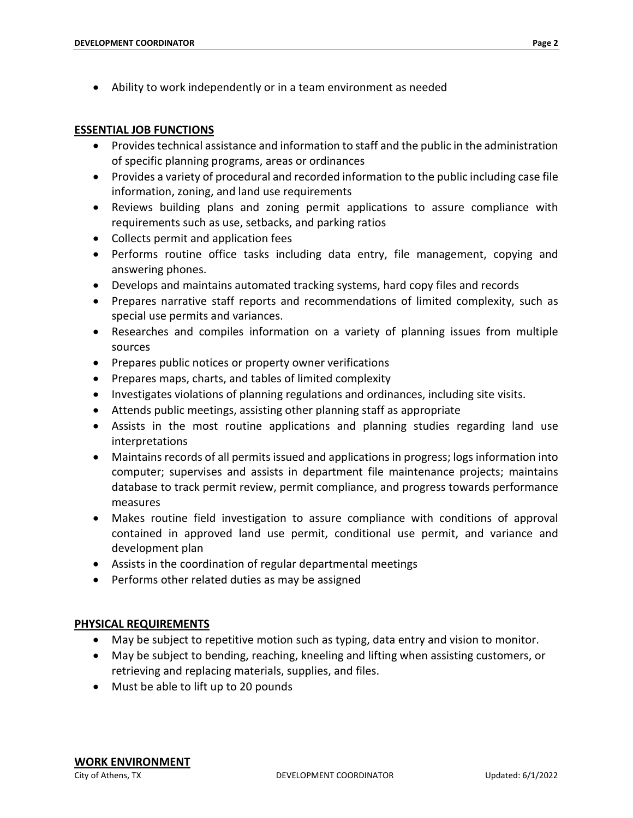• Ability to work independently or in a team environment as needed

#### **ESSENTIAL JOB FUNCTIONS**

- Provides technical assistance and information to staff and the public in the administration of specific planning programs, areas or ordinances
- Provides a variety of procedural and recorded information to the public including case file information, zoning, and land use requirements
- Reviews building plans and zoning permit applications to assure compliance with requirements such as use, setbacks, and parking ratios
- Collects permit and application fees
- Performs routine office tasks including data entry, file management, copying and answering phones.
- Develops and maintains automated tracking systems, hard copy files and records
- Prepares narrative staff reports and recommendations of limited complexity, such as special use permits and variances.
- Researches and compiles information on a variety of planning issues from multiple sources
- Prepares public notices or property owner verifications
- Prepares maps, charts, and tables of limited complexity
- Investigates violations of planning regulations and ordinances, including site visits.
- Attends public meetings, assisting other planning staff as appropriate
- Assists in the most routine applications and planning studies regarding land use interpretations
- Maintains records of all permits issued and applications in progress; logs information into computer; supervises and assists in department file maintenance projects; maintains database to track permit review, permit compliance, and progress towards performance measures
- Makes routine field investigation to assure compliance with conditions of approval contained in approved land use permit, conditional use permit, and variance and development plan
- Assists in the coordination of regular departmental meetings
- Performs other related duties as may be assigned

### **PHYSICAL REQUIREMENTS**

- May be subject to repetitive motion such as typing, data entry and vision to monitor.
- May be subject to bending, reaching, kneeling and lifting when assisting customers, or retrieving and replacing materials, supplies, and files.
- Must be able to lift up to 20 pounds